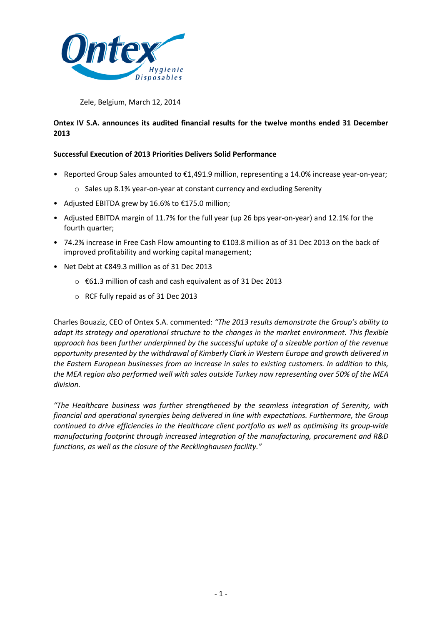

Zele, Belgium, March 12, 2014

# **Ontex IV S.A. announces its audited financial results for the twelve months ended 31 December 2013**

## **Successful Execution of 2013 Priorities Delivers Solid Performance**

- Reported Group Sales amounted to €1,491.9 million, representing a 14.0% increase year-on-year;
	- o Sales up 8.1% year-on-year at constant currency and excluding Serenity
- Adjusted EBITDA grew by 16.6% to €175.0 million;
- Adjusted EBITDA margin of 11.7% for the full year (up 26 bps year-on-year) and 12.1% for the fourth quarter;
- 74.2% increase in Free Cash Flow amounting to €103.8 million as of 31 Dec 2013 on the back of improved profitability and working capital management;
- Net Debt at €849.3 million as of 31 Dec 2013
	- o €61.3 million of cash and cash equivalent as of 31 Dec 2013
	- o RCF fully repaid as of 31 Dec 2013

Charles Bouaziz, CEO of Ontex S.A. commented: *"The 2013 results demonstrate the Group's ability to adapt its strategy and operational structure to the changes in the market environment. This flexible approach has been further underpinned by the successful uptake of a sizeable portion of the revenue opportunity presented by the withdrawal of Kimberly Clark in Western Europe and growth delivered in the Eastern European businesses from an increase in sales to existing customers. In addition to this, the MEA region also performed well with sales outside Turkey now representing over 50% of the MEA division.*

*"The Healthcare business was further strengthened by the seamless integration of Serenity, with financial and operational synergies being delivered in line with expectations. Furthermore, the Group continued to drive efficiencies in the Healthcare client portfolio as well as optimising its group-wide manufacturing footprint through increased integration of the manufacturing, procurement and R&D functions, as well as the closure of the Recklinghausen facility."*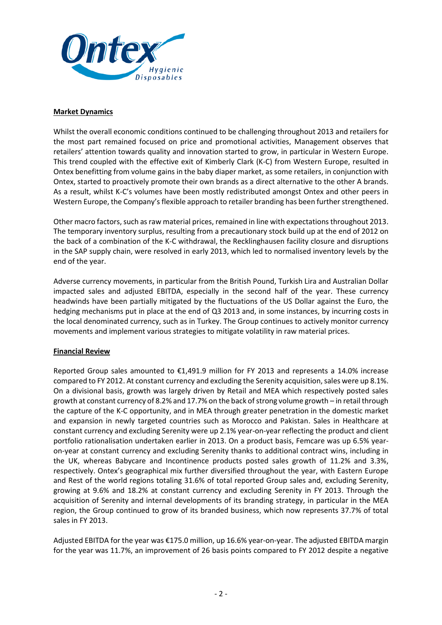

### **Market Dynamics**

Whilst the overall economic conditions continued to be challenging throughout 2013 and retailers for the most part remained focused on price and promotional activities, Management observes that retailers' attention towards quality and innovation started to grow, in particular in Western Europe. This trend coupled with the effective exit of Kimberly Clark (K-C) from Western Europe, resulted in Ontex benefitting from volume gains in the baby diaper market, as some retailers, in conjunction with Ontex, started to proactively promote their own brands as a direct alternative to the other A brands. As a result, whilst K-C's volumes have been mostly redistributed amongst Ontex and other peers in Western Europe, the Company's flexible approach to retailer branding has been further strengthened.

Other macro factors, such as raw material prices, remained in line with expectations throughout 2013. The temporary inventory surplus, resulting from a precautionary stock build up at the end of 2012 on the back of a combination of the K-C withdrawal, the Recklinghausen facility closure and disruptions in the SAP supply chain, were resolved in early 2013, which led to normalised inventory levels by the end of the year.

Adverse currency movements, in particular from the British Pound, Turkish Lira and Australian Dollar impacted sales and adjusted EBITDA, especially in the second half of the year. These currency headwinds have been partially mitigated by the fluctuations of the US Dollar against the Euro, the hedging mechanisms put in place at the end of Q3 2013 and, in some instances, by incurring costs in the local denominated currency, such as in Turkey. The Group continues to actively monitor currency movements and implement various strategies to mitigate volatility in raw material prices.

# **Financial Review**

Reported Group sales amounted to €1,491.9 million for FY 2013 and represents a 14.0% increase compared to FY 2012. At constant currency and excluding the Serenity acquisition, sales were up 8.1%. On a divisional basis, growth was largely driven by Retail and MEA which respectively posted sales growth at constant currency of 8.2% and 17.7% on the back of strong volume growth – in retail through the capture of the K-C opportunity, and in MEA through greater penetration in the domestic market and expansion in newly targeted countries such as Morocco and Pakistan. Sales in Healthcare at constant currency and excluding Serenity were up 2.1% year-on-year reflecting the product and client portfolio rationalisation undertaken earlier in 2013. On a product basis, Femcare was up 6.5% yearon-year at constant currency and excluding Serenity thanks to additional contract wins, including in the UK, whereas Babycare and Incontinence products posted sales growth of 11.2% and 3.3%, respectively. Ontex's geographical mix further diversified throughout the year, with Eastern Europe and Rest of the world regions totaling 31.6% of total reported Group sales and, excluding Serenity, growing at 9.6% and 18.2% at constant currency and excluding Serenity in FY 2013. Through the acquisition of Serenity and internal developments of its branding strategy, in particular in the MEA region, the Group continued to grow of its branded business, which now represents 37.7% of total sales in FY 2013.

Adjusted EBITDA for the year was €175.0 million, up 16.6% year-on-year. The adjusted EBITDA margin for the year was 11.7%, an improvement of 26 basis points compared to FY 2012 despite a negative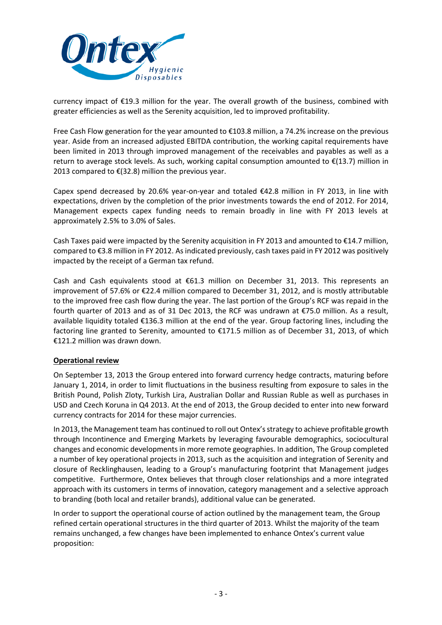

currency impact of €19.3 million for the year. The overall growth of the business, combined with greater efficiencies as well as the Serenity acquisition, led to improved profitability.

Free Cash Flow generation for the year amounted to €103.8 million, a 74.2% increase on the previous year. Aside from an increased adjusted EBITDA contribution, the working capital requirements have been limited in 2013 through improved management of the receivables and payables as well as a return to average stock levels. As such, working capital consumption amounted to  $\epsilon$ (13.7) million in 2013 compared to  $E(32.8)$  million the previous year.

Capex spend decreased by 20.6% year-on-year and totaled €42.8 million in FY 2013, in line with expectations, driven by the completion of the prior investments towards the end of 2012. For 2014, Management expects capex funding needs to remain broadly in line with FY 2013 levels at approximately 2.5% to 3.0% of Sales.

Cash Taxes paid were impacted by the Serenity acquisition in FY 2013 and amounted to €14.7 million, compared to €3.8 million in FY 2012. As indicated previously, cash taxes paid in FY 2012 was positively impacted by the receipt of a German tax refund.

Cash and Cash equivalents stood at  $\epsilon$ 61.3 million on December 31, 2013. This represents an improvement of 57.6% or €22.4 million compared to December 31, 2012, and is mostly attributable to the improved free cash flow during the year. The last portion of the Group's RCF was repaid in the fourth quarter of 2013 and as of 31 Dec 2013, the RCF was undrawn at €75.0 million. As a result, available liquidity totaled €136.3 million at the end of the year. Group factoring lines, including the factoring line granted to Serenity, amounted to €171.5 million as of December 31, 2013, of which €121.2 million was drawn down.

### **Operational review**

On September 13, 2013 the Group entered into forward currency hedge contracts, maturing before January 1, 2014, in order to limit fluctuations in the business resulting from exposure to sales in the British Pound, Polish Zloty, Turkish Lira, Australian Dollar and Russian Ruble as well as purchases in USD and Czech Koruna in Q4 2013. At the end of 2013, the Group decided to enter into new forward currency contracts for 2014 for these major currencies.

In 2013, the Management team has continued to roll out Ontex's strategy to achieve profitable growth through Incontinence and Emerging Markets by leveraging favourable demographics, sociocultural changes and economic developments in more remote geographies. In addition, The Group completed a number of key operational projects in 2013, such as the acquisition and integration of Serenity and closure of Recklinghausen, leading to a Group's manufacturing footprint that Management judges competitive. Furthermore, Ontex believes that through closer relationships and a more integrated approach with its customers in terms of innovation, category management and a selective approach to branding (both local and retailer brands), additional value can be generated.

In order to support the operational course of action outlined by the management team, the Group refined certain operational structures in the third quarter of 2013. Whilst the majority of the team remains unchanged, a few changes have been implemented to enhance Ontex's current value proposition: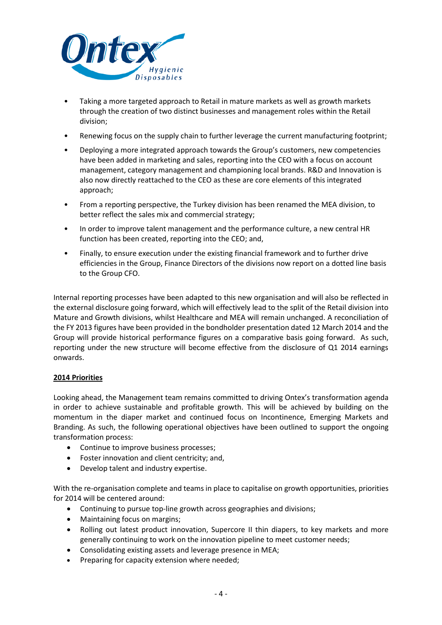

- Taking a more targeted approach to Retail in mature markets as well as growth markets through the creation of two distinct businesses and management roles within the Retail division;
- Renewing focus on the supply chain to further leverage the current manufacturing footprint;
- Deploying a more integrated approach towards the Group's customers, new competencies have been added in marketing and sales, reporting into the CEO with a focus on account management, category management and championing local brands. R&D and Innovation is also now directly reattached to the CEO as these are core elements of this integrated approach;
- From a reporting perspective, the Turkey division has been renamed the MEA division, to better reflect the sales mix and commercial strategy;
- In order to improve talent management and the performance culture, a new central HR function has been created, reporting into the CEO; and,
- Finally, to ensure execution under the existing financial framework and to further drive efficiencies in the Group, Finance Directors of the divisions now report on a dotted line basis to the Group CFO.

Internal reporting processes have been adapted to this new organisation and will also be reflected in the external disclosure going forward, which will effectively lead to the split of the Retail division into Mature and Growth divisions, whilst Healthcare and MEA will remain unchanged. A reconciliation of the FY 2013 figures have been provided in the bondholder presentation dated 12 March 2014 and the Group will provide historical performance figures on a comparative basis going forward. As such, reporting under the new structure will become effective from the disclosure of Q1 2014 earnings onwards.

### **2014 Priorities**

Looking ahead, the Management team remains committed to driving Ontex's transformation agenda in order to achieve sustainable and profitable growth. This will be achieved by building on the momentum in the diaper market and continued focus on Incontinence, Emerging Markets and Branding. As such, the following operational objectives have been outlined to support the ongoing transformation process:

- Continue to improve business processes;
- Foster innovation and client centricity; and,
- Develop talent and industry expertise.

With the re-organisation complete and teams in place to capitalise on growth opportunities, priorities for 2014 will be centered around:

- Continuing to pursue top-line growth across geographies and divisions;
- Maintaining focus on margins;
- Rolling out latest product innovation, Supercore II thin diapers, to key markets and more generally continuing to work on the innovation pipeline to meet customer needs;
- Consolidating existing assets and leverage presence in MEA;
- Preparing for capacity extension where needed;